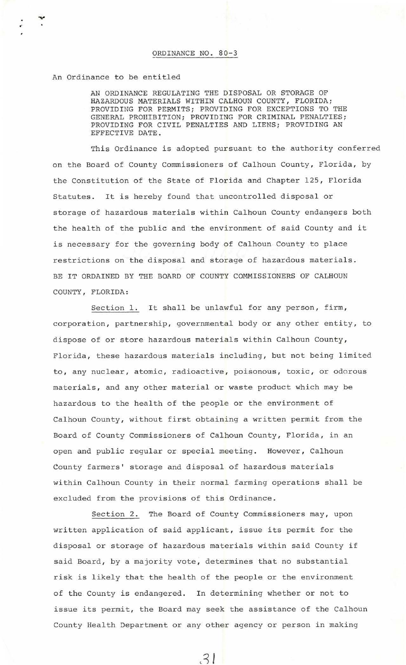An Ordinance to be entitled

AN ORDINANCE REGULATING THE DISPOSAL OR STORAGE OF HAZARDOUS MATERIALS WITHIN CALHOUN COUNTY , FLORIDA; PROVIDING FOR PERMITS; PROVIDING FOR EXCEPTIONS TO THE GENERAL PROHIBITION; PROVIDING FOR CRIMINAL PENALTIES; PROVIDING FOR CIVIL PENALTIES AND LIENS; PROVIDING AN EFFECTIVE DATE .

This Ordinance is adopted pursuant to the authority conferred on the Board of County Commissioners of Calhoun County, Florida, by the Constitution of the State of Florida and Chapter 125, Florida Statutes. It is hereby found that uncontrolled disposal or storage of hazardous materials within Calhoun County endangers both the health of the public and the environment of said County and it is necessary for the governing body of Calhoun County to place restrictions on the disposal and storage of hazardous materials. BE IT ORDAINED BY THE BOARD OF COUNTY COMMISSIONERS OF CALHOUN COUNTY , FLORIDA :

Section 1. It shall be unlawful for any person, firm, corporation, partnership, governmental body or any other entity, to dispose of or store hazardous materials within Calhoun County, Florida, these hazardous materials including, but not being limited to, any nuclear, atomic, radioactive, poisonous, toxic, or odorous materials, and any other material or waste product which may be hazardous to the health of the people or the environment of Calhoun County, without first obtaining a written permit from the Board of County Commissioners of Calhoun County, Florida, in an open and public regular or special meeting. However, Calhoun County farmers' storage and disposal of hazardous materials within Calhoun County in their normal farming operations shall be excluded from the provisions of this Ordinance.

Section 2. The Board of County Commissioners may, upon written application of said applicant, issue its permit for the disposal or storage of hazardous materials within said County if said Board, by a majority vote, determines that no substantial risk is likely that the health of the people or the environment of the County is endangered. In determining whether or not to issue its permit, the Board may seek the assistance of the Calhoun County Health Department or any other agency or person in making

 $31$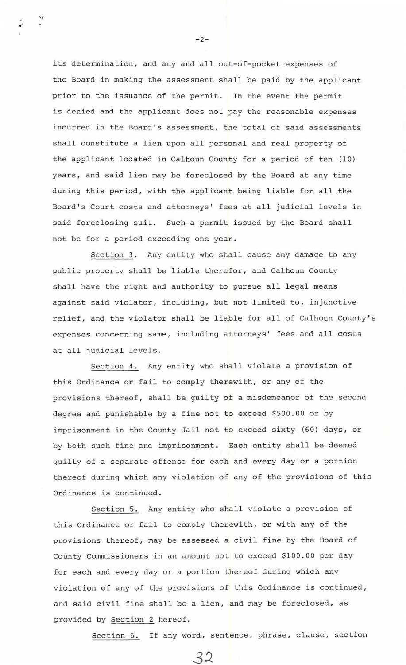its determination, and any and all out-of-pocket expenses of the Board in making the assessment shall be paid by the applicant prior to the issuance of the permit. In the event the permit is denied and the applicant does not pay the reasonable expenses incurred in the Board's assessment, the total of said assessments shall constitute a lien upon all personal and real property of the applicant located in Calhoun County for a period of ten (10) years , and said lien may be foreclosed by the Board at any time during this period, with the applicant being liable for all the Board's Court costs and attorneys' fees at all judicial levels in said foreclosing suit. Such a permit issued by the Board shall not be for a period exceeding one year.

Section 3. Any entity who shall cause any damage to any public property shall be liable therefor, and Calhoun County shall have the right and authority to pursue all legal means against said violator, including, but not limited to, injunctive relief, and the violator shall be liable for all of Calhoun County's expenses concerning same, including attorneys' fees and all costs at all judicial levels.

Section 4. Any entity who shall violate a provision of this Ordinance or fail to comply therewith, or any of the provisions thereof, shall be guilty of a misdemeanor of the second degree and punishable by a fine not to exceed \$500 . 00 or by imprisonment in the County Jail not to exceed sixty (60) days, or by both such fine and imprisonment. Each entity shall be deemed guilty of a separate offense for each and every day or a portion thereof during which any violation of any of the provisions of this Ordinance is continued .

Section 5. Any entity who shall violate a provision of this Ordinance or fail to comply therewith, or with any of the provisions thereof, may be assessed a civil fine by the Board of County Commissioners in an amount not to exceed \$100.00 per day for each and every day or a portion thereof during which any violation of any of the provisions of this Ordinance is continued , and said civil fine shall be a lien, and may be foreclosed, as provided by Section 2 hereof.

32

Section 6. If any word, sentence, phrase, clause, section

 $-2-$ 

 $\ddot{\phantom{0}}$